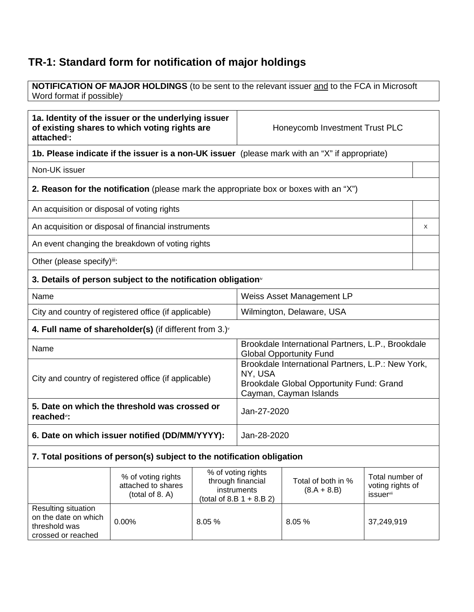## **TR-1: Standard form for notification of major holdings**

**NOTIFICATION OF MAJOR HOLDINGS** (to be sent to the relevant issuer and to the FCA in Microsoft Word format if possible)<sup>i</sup>

| 1a. Identity of the issuer or the underlying issuer<br>of existing shares to which voting rights are<br>attached <sup>®</sup> : |                                                                                               |                                                                                                                                                   | Honeycomb Investment Trust PLC                                                                                                     |                                                                                     |  |   |
|---------------------------------------------------------------------------------------------------------------------------------|-----------------------------------------------------------------------------------------------|---------------------------------------------------------------------------------------------------------------------------------------------------|------------------------------------------------------------------------------------------------------------------------------------|-------------------------------------------------------------------------------------|--|---|
|                                                                                                                                 | 1b. Please indicate if the issuer is a non-UK issuer (please mark with an "X" if appropriate) |                                                                                                                                                   |                                                                                                                                    |                                                                                     |  |   |
| Non-UK issuer                                                                                                                   |                                                                                               |                                                                                                                                                   |                                                                                                                                    |                                                                                     |  |   |
|                                                                                                                                 | 2. Reason for the notification (please mark the appropriate box or boxes with an "X")         |                                                                                                                                                   |                                                                                                                                    |                                                                                     |  |   |
| An acquisition or disposal of voting rights                                                                                     |                                                                                               |                                                                                                                                                   |                                                                                                                                    |                                                                                     |  |   |
|                                                                                                                                 | An acquisition or disposal of financial instruments                                           |                                                                                                                                                   |                                                                                                                                    |                                                                                     |  | X |
|                                                                                                                                 | An event changing the breakdown of voting rights                                              |                                                                                                                                                   |                                                                                                                                    |                                                                                     |  |   |
| Other (please specify)iii:                                                                                                      |                                                                                               |                                                                                                                                                   |                                                                                                                                    |                                                                                     |  |   |
|                                                                                                                                 | 3. Details of person subject to the notification obligation <sup>®</sup>                      |                                                                                                                                                   |                                                                                                                                    |                                                                                     |  |   |
| Name                                                                                                                            |                                                                                               |                                                                                                                                                   | <b>Weiss Asset Management LP</b>                                                                                                   |                                                                                     |  |   |
|                                                                                                                                 | City and country of registered office (if applicable)                                         |                                                                                                                                                   | Wilmington, Delaware, USA                                                                                                          |                                                                                     |  |   |
|                                                                                                                                 | 4. Full name of shareholder(s) (if different from $3.$ ) $\sqrt{ }$                           |                                                                                                                                                   |                                                                                                                                    |                                                                                     |  |   |
| Name                                                                                                                            |                                                                                               |                                                                                                                                                   |                                                                                                                                    | Brookdale International Partners, L.P., Brookdale<br><b>Global Opportunity Fund</b> |  |   |
| City and country of registered office (if applicable)                                                                           |                                                                                               |                                                                                                                                                   | Brookdale International Partners, L.P.: New York,<br>NY, USA<br>Brookdale Global Opportunity Fund: Grand<br>Cayman, Cayman Islands |                                                                                     |  |   |
| 5. Date on which the threshold was crossed or<br>reached <sup>vi</sup> :                                                        |                                                                                               |                                                                                                                                                   | Jan-27-2020                                                                                                                        |                                                                                     |  |   |
| 6. Date on which issuer notified (DD/MM/YYYY):                                                                                  |                                                                                               |                                                                                                                                                   | Jan-28-2020                                                                                                                        |                                                                                     |  |   |
| 7. Total positions of person(s) subject to the notification obligation                                                          |                                                                                               |                                                                                                                                                   |                                                                                                                                    |                                                                                     |  |   |
|                                                                                                                                 | % of voting rights<br>attached to shares<br>(total of 8. A)                                   | % of voting rights<br>through financial<br>Total of both in %<br>instruments<br>$(8.A + 8.B)$<br><b>issuer</b> vii<br>(total of 8.B $1 + 8.B 2$ ) |                                                                                                                                    | Total number of<br>voting rights of                                                 |  |   |
| Resulting situation<br>on the date on which<br>threshold was<br>crossed or reached                                              | 0.00%                                                                                         | 8.05%                                                                                                                                             | 8.05%<br>37,249,919                                                                                                                |                                                                                     |  |   |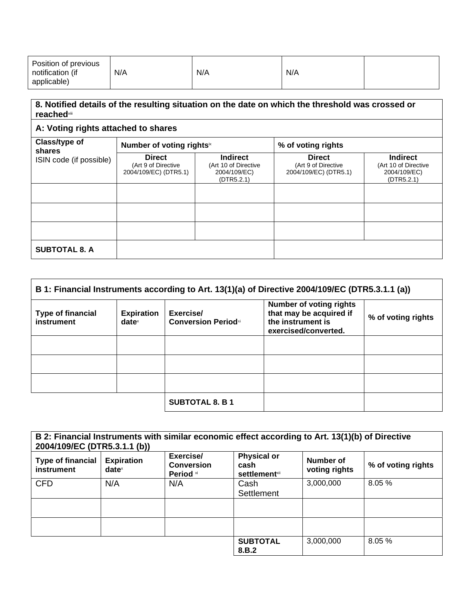| Position of previous<br>N/A<br>notification (if<br>applicable) | N/A | N/A |  |
|----------------------------------------------------------------|-----|-----|--|
|----------------------------------------------------------------|-----|-----|--|

## **8. Notified details of the resulting situation on the date on which the threshold was crossed or reached**viii

## **A: Voting rights attached to shares**

| Class/type of<br>shares<br>ISIN code (if possible) | Number of voting rights <sup>ix</sup>                         |                                                                       | % of voting rights                                            |                                                                       |
|----------------------------------------------------|---------------------------------------------------------------|-----------------------------------------------------------------------|---------------------------------------------------------------|-----------------------------------------------------------------------|
|                                                    | <b>Direct</b><br>(Art 9 of Directive<br>2004/109/EC) (DTR5.1) | <b>Indirect</b><br>(Art 10 of Directive<br>2004/109/EC)<br>(DTR5.2.1) | <b>Direct</b><br>(Art 9 of Directive<br>2004/109/EC) (DTR5.1) | <b>Indirect</b><br>(Art 10 of Directive<br>2004/109/EC)<br>(DTR5.2.1) |
|                                                    |                                                               |                                                                       |                                                               |                                                                       |
|                                                    |                                                               |                                                                       |                                                               |                                                                       |
|                                                    |                                                               |                                                                       |                                                               |                                                                       |
| <b>SUBTOTAL 8. A</b>                               |                                                               |                                                                       |                                                               |                                                                       |

| B 1: Financial Instruments according to Art. 13(1)(a) of Directive 2004/109/EC (DTR5.3.1.1 (a)) |                               |                                          |                                                                                                        |                    |
|-------------------------------------------------------------------------------------------------|-------------------------------|------------------------------------------|--------------------------------------------------------------------------------------------------------|--------------------|
| <b>Type of financial</b><br>instrument                                                          | <b>Expiration</b><br>$date^x$ | Exercise/<br><b>Conversion Period</b> xi | <b>Number of voting rights</b><br>that may be acquired if<br>the instrument is<br>exercised/converted. | % of voting rights |
|                                                                                                 |                               |                                          |                                                                                                        |                    |
|                                                                                                 |                               |                                          |                                                                                                        |                    |
|                                                                                                 |                               |                                          |                                                                                                        |                    |
|                                                                                                 |                               | <b>SUBTOTAL 8. B 1</b>                   |                                                                                                        |                    |

| B 2: Financial Instruments with similar economic effect according to Art. 13(1)(b) of Directive<br>2004/109/EC (DTR5.3.1.1 (b)) |                                                        |                                             |                                                     |                            |                    |
|---------------------------------------------------------------------------------------------------------------------------------|--------------------------------------------------------|---------------------------------------------|-----------------------------------------------------|----------------------------|--------------------|
| <b>Type of financial</b><br>instrument                                                                                          | <b>Expiration</b><br>$date^{\scriptscriptstyle\times}$ | Exercise/<br><b>Conversion</b><br>Period xi | <b>Physical or</b><br>cash<br><b>settlement</b> xii | Number of<br>voting rights | % of voting rights |
| <b>CFD</b>                                                                                                                      | N/A                                                    | N/A                                         | Cash<br>Settlement                                  | 3,000,000                  | 8.05%              |
|                                                                                                                                 |                                                        |                                             |                                                     |                            |                    |
|                                                                                                                                 |                                                        |                                             |                                                     |                            |                    |
|                                                                                                                                 |                                                        |                                             | <b>SUBTOTAL</b><br>8.B.2                            | 3,000,000                  | 8.05%              |